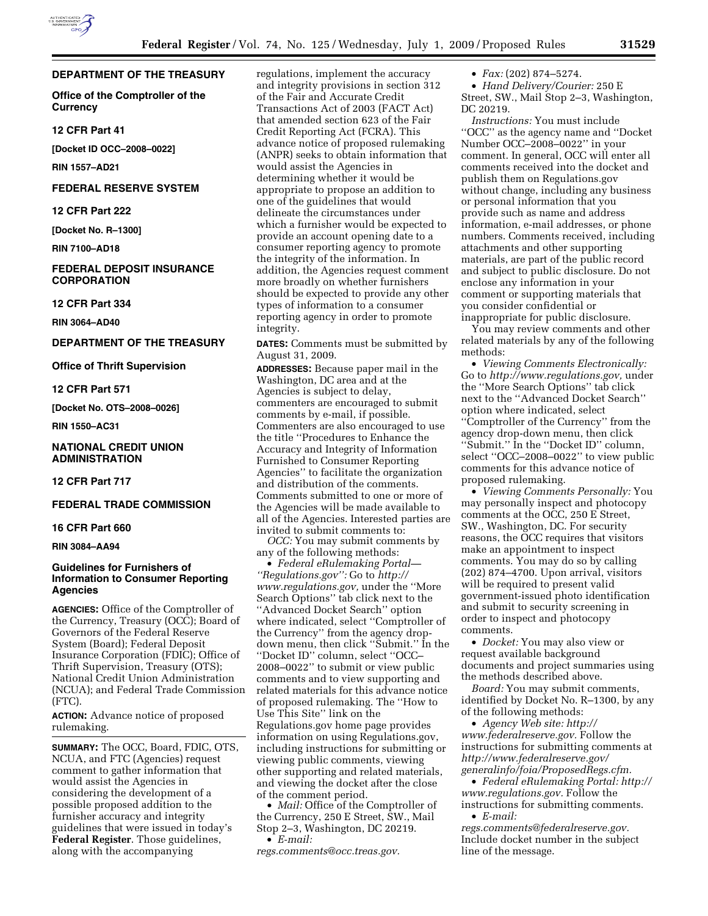# **DEPARTMENT OF THE TREASURY**

**Office of the Comptroller of the Currency** 

### **12 CFR Part 41**

**[Docket ID OCC–2008–0022]** 

**RIN 1557–AD21** 

## **FEDERAL RESERVE SYSTEM**

**12 CFR Part 222** 

**[Docket No. R–1300]** 

**RIN 7100–AD18** 

# **FEDERAL DEPOSIT INSURANCE CORPORATION**

**12 CFR Part 334** 

**RIN 3064–AD40** 

# **DEPARTMENT OF THE TREASURY**

**Office of Thrift Supervision** 

#### **12 CFR Part 571**

**[Docket No. OTS–2008–0026]** 

**RIN 1550–AC31** 

## **NATIONAL CREDIT UNION ADMINISTRATION**

**12 CFR Part 717** 

## **FEDERAL TRADE COMMISSION**

# **16 CFR Part 660**

**RIN 3084–AA94** 

# **Guidelines for Furnishers of Information to Consumer Reporting Agencies**

**AGENCIES:** Office of the Comptroller of the Currency, Treasury (OCC); Board of Governors of the Federal Reserve System (Board); Federal Deposit Insurance Corporation (FDIC); Office of Thrift Supervision, Treasury (OTS); National Credit Union Administration (NCUA); and Federal Trade Commission (FTC).

**ACTION:** Advance notice of proposed rulemaking.

**SUMMARY:** The OCC, Board, FDIC, OTS, NCUA, and FTC (Agencies) request comment to gather information that would assist the Agencies in considering the development of a possible proposed addition to the furnisher accuracy and integrity guidelines that were issued in today's **Federal Register**. Those guidelines, along with the accompanying

regulations, implement the accuracy and integrity provisions in section 312 of the Fair and Accurate Credit Transactions Act of 2003 (FACT Act) that amended section 623 of the Fair Credit Reporting Act (FCRA). This advance notice of proposed rulemaking (ANPR) seeks to obtain information that would assist the Agencies in determining whether it would be appropriate to propose an addition to one of the guidelines that would delineate the circumstances under which a furnisher would be expected to provide an account opening date to a consumer reporting agency to promote the integrity of the information. In addition, the Agencies request comment more broadly on whether furnishers should be expected to provide any other types of information to a consumer reporting agency in order to promote integrity.

**DATES:** Comments must be submitted by August 31, 2009.

**ADDRESSES:** Because paper mail in the Washington, DC area and at the Agencies is subject to delay, commenters are encouraged to submit comments by e-mail, if possible. Commenters are also encouraged to use the title ''Procedures to Enhance the Accuracy and Integrity of Information Furnished to Consumer Reporting Agencies'' to facilitate the organization and distribution of the comments. Comments submitted to one or more of the Agencies will be made available to all of the Agencies. Interested parties are invited to submit comments to:

*OCC:* You may submit comments by any of the following methods:

• *Federal eRulemaking Portal— ''Regulations.gov'':* Go to *http:// www.regulations.gov,* under the ''More Search Options'' tab click next to the ''Advanced Docket Search'' option where indicated, select ''Comptroller of the Currency'' from the agency dropdown menu, then click ''Submit.'' In the ''Docket ID'' column, select ''OCC– 2008–0022'' to submit or view public comments and to view supporting and related materials for this advance notice of proposed rulemaking. The ''How to Use This Site'' link on the Regulations.gov home page provides information on using Regulations.gov, including instructions for submitting or viewing public comments, viewing other supporting and related materials, and viewing the docket after the close of the comment period.

• *Mail:* Office of the Comptroller of the Currency, 250 E Street, SW., Mail Stop 2–3, Washington, DC 20219. • *E-mail:* 

*regs.comments@occ.treas.gov.* 

• *Fax:* (202) 874–5274.

• *Hand Delivery/Courier:* 250 E Street, SW., Mail Stop 2–3, Washington, DC 20219.

*Instructions:* You must include ''OCC'' as the agency name and ''Docket Number OCC–2008–0022'' in your comment. In general, OCC will enter all comments received into the docket and publish them on Regulations.gov without change, including any business or personal information that you provide such as name and address information, e-mail addresses, or phone numbers. Comments received, including attachments and other supporting materials, are part of the public record and subject to public disclosure. Do not enclose any information in your comment or supporting materials that you consider confidential or inappropriate for public disclosure.

You may review comments and other related materials by any of the following methods:

• *Viewing Comments Electronically:*  Go to *http://www.regulations.gov,* under the ''More Search Options'' tab click next to the ''Advanced Docket Search'' option where indicated, select ''Comptroller of the Currency'' from the agency drop-down menu, then click ''Submit.'' In the ''Docket ID'' column, select ''OCC–2008–0022'' to view public comments for this advance notice of proposed rulemaking.

• *Viewing Comments Personally:* You may personally inspect and photocopy comments at the OCC, 250 E Street, SW., Washington, DC. For security reasons, the OCC requires that visitors make an appointment to inspect comments. You may do so by calling (202) 874–4700. Upon arrival, visitors will be required to present valid government-issued photo identification and submit to security screening in order to inspect and photocopy comments.

• *Docket:* You may also view or request available background documents and project summaries using the methods described above.

*Board:* You may submit comments, identified by Docket No. R–1300, by any of the following methods:

• *Agency Web site: http:// www.federalreserve.gov.* Follow the instructions for submitting comments at *http://www.federalreserve.gov/ generalinfo/foia/ProposedRegs.cfm.* 

• *Federal eRulemaking Portal: http:// www.regulations.gov.* Follow the instructions for submitting comments.

• *E-mail: regs.comments@federalreserve.gov.* 

Include docket number in the subject line of the message.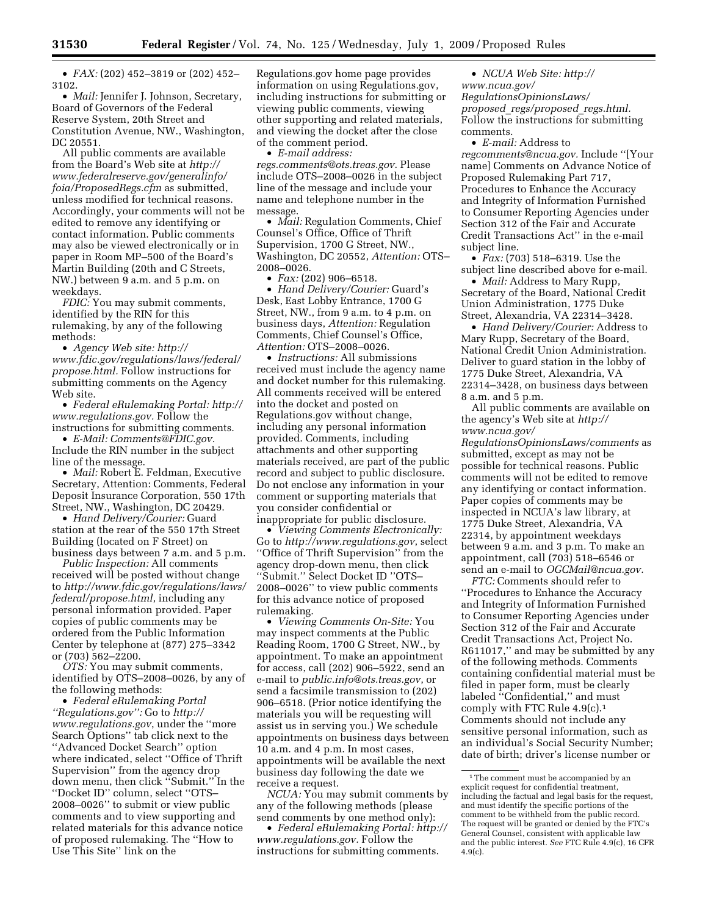• *FAX:* (202) 452–3819 or (202) 452– 3102.

• *Mail:* Jennifer J. Johnson, Secretary, Board of Governors of the Federal Reserve System, 20th Street and Constitution Avenue, NW., Washington, DC 20551.

All public comments are available from the Board's Web site at *http:// www.federalreserve.gov/generalinfo/ foia/ProposedRegs.cfm* as submitted, unless modified for technical reasons. Accordingly, your comments will not be edited to remove any identifying or contact information. Public comments may also be viewed electronically or in paper in Room MP–500 of the Board's Martin Building (20th and C Streets, NW.) between 9 a.m. and 5 p.m. on weekdays.

*FDIC:* You may submit comments, identified by the RIN for this rulemaking, by any of the following methods:

• *Agency Web site: http:// www.fdic.gov/regulations/laws/federal/ propose.html.* Follow instructions for submitting comments on the Agency Web site.

• *Federal eRulemaking Portal: http:// www.regulations.gov.* Follow the instructions for submitting comments.

• *E-Mail: Comments@FDIC.gov.*  Include the RIN number in the subject line of the message.

• *Mail:* Robert E. Feldman, Executive Secretary, Attention: Comments, Federal Deposit Insurance Corporation, 550 17th Street, NW., Washington, DC 20429.

• *Hand Delivery/Courier:* Guard station at the rear of the 550 17th Street Building (located on F Street) on business days between 7 a.m. and 5 p.m.

*Public Inspection:* All comments received will be posted without change to *http://www.fdic.gov/regulations/laws/ federal/propose.html*, including any personal information provided. Paper copies of public comments may be ordered from the Public Information Center by telephone at (877) 275–3342 or (703) 562–2200.

*OTS:* You may submit comments, identified by OTS–2008–0026, by any of the following methods:

• *Federal eRulemaking Portal ''Regulations.gov'':* Go to *http:// www.regulations.gov*, under the ''more Search Options'' tab click next to the ''Advanced Docket Search'' option where indicated, select ''Office of Thrift Supervision'' from the agency drop down menu, then click ''Submit.'' In the ''Docket ID'' column, select ''OTS– 2008–0026'' to submit or view public comments and to view supporting and related materials for this advance notice of proposed rulemaking. The ''How to Use This Site'' link on the

Regulations.gov home page provides information on using Regulations.gov, including instructions for submitting or viewing public comments, viewing other supporting and related materials, and viewing the docket after the close of the comment period.

• *E-mail address:* 

*regs.comments@ots.treas.gov*. Please include OTS–2008–0026 in the subject line of the message and include your name and telephone number in the message.

• *Mail:* Regulation Comments, Chief Counsel's Office, Office of Thrift Supervision, 1700 G Street, NW., Washington, DC 20552, *Attention:* OTS– 2008–0026.

• *Fax:* (202) 906–6518.

• *Hand Delivery/Courier:* Guard's Desk, East Lobby Entrance, 1700 G Street, NW., from 9 a.m. to 4 p.m. on business days, *Attention:* Regulation Comments, Chief Counsel's Office, *Attention:* OTS–2008–0026.

• *Instructions:* All submissions received must include the agency name and docket number for this rulemaking. All comments received will be entered into the docket and posted on Regulations.gov without change, including any personal information provided. Comments, including attachments and other supporting materials received, are part of the public record and subject to public disclosure. Do not enclose any information in your comment or supporting materials that you consider confidential or inappropriate for public disclosure.

• *Viewing Comments Electronically:*  Go to *http://www.regulations.gov*, select ''Office of Thrift Supervision'' from the agency drop-down menu, then click ''Submit.'' Select Docket ID ''OTS– 2008–0026'' to view public comments for this advance notice of proposed rulemaking.

• *Viewing Comments On-Site:* You may inspect comments at the Public Reading Room, 1700 G Street, NW., by appointment. To make an appointment for access, call (202) 906–5922, send an e-mail to *public.info@ots.treas.gov*, or send a facsimile transmission to (202) 906–6518. (Prior notice identifying the materials you will be requesting will assist us in serving you.) We schedule appointments on business days between 10 a.m. and 4 p.m. In most cases, appointments will be available the next business day following the date we receive a request.

*NCUA:* You may submit comments by any of the following methods (please send comments by one method only):

• *Federal eRulemaking Portal: http:// www.regulations.gov.* Follow the instructions for submitting comments.

• *NCUA Web Site: http:// www.ncua.gov/ RegulationsOpinionsLaws/ proposed*\_*regs/proposed*\_*regs.html.*  Follow the instructions for submitting comments.

• *E-mail:* Address to *regcomments@ncua.gov.* Include ''[Your name] Comments on Advance Notice of Proposed Rulemaking Part 717, Procedures to Enhance the Accuracy and Integrity of Information Furnished to Consumer Reporting Agencies under Section 312 of the Fair and Accurate Credit Transactions Act'' in the e-mail subject line.

• *Fax:* (703) 518–6319. Use the subject line described above for e-mail.

• *Mail:* Address to Mary Rupp, Secretary of the Board, National Credit Union Administration, 1775 Duke Street, Alexandria, VA 22314–3428.

• *Hand Delivery/Courier:* Address to Mary Rupp, Secretary of the Board, National Credit Union Administration. Deliver to guard station in the lobby of 1775 Duke Street, Alexandria, VA 22314–3428, on business days between 8 a.m. and 5 p.m.

All public comments are available on the agency's Web site at *http:// www.ncua.gov/* 

*RegulationsOpinionsLaws/comments* as submitted, except as may not be possible for technical reasons. Public comments will not be edited to remove any identifying or contact information. Paper copies of comments may be inspected in NCUA's law library, at 1775 Duke Street, Alexandria, VA 22314, by appointment weekdays between 9 a.m. and 3 p.m. To make an appointment, call (703) 518–6546 or send an e-mail to *OGCMail@ncua.gov.* 

*FTC:* Comments should refer to ''Procedures to Enhance the Accuracy and Integrity of Information Furnished to Consumer Reporting Agencies under Section 312 of the Fair and Accurate Credit Transactions Act, Project No. R611017,'' and may be submitted by any of the following methods. Comments containing confidential material must be filed in paper form, must be clearly labeled ''Confidential,'' and must comply with FTC Rule 4.9(c).1 Comments should not include any sensitive personal information, such as an individual's Social Security Number; date of birth; driver's license number or

<sup>&</sup>lt;sup>1</sup>The comment must be accompanied by an explicit request for confidential treatment, including the factual and legal basis for the request, and must identify the specific portions of the comment to be withheld from the public record. The request will be granted or denied by the FTC's General Counsel, consistent with applicable law and the public interest. *See* FTC Rule 4.9(c), 16 CFR 4.9(c).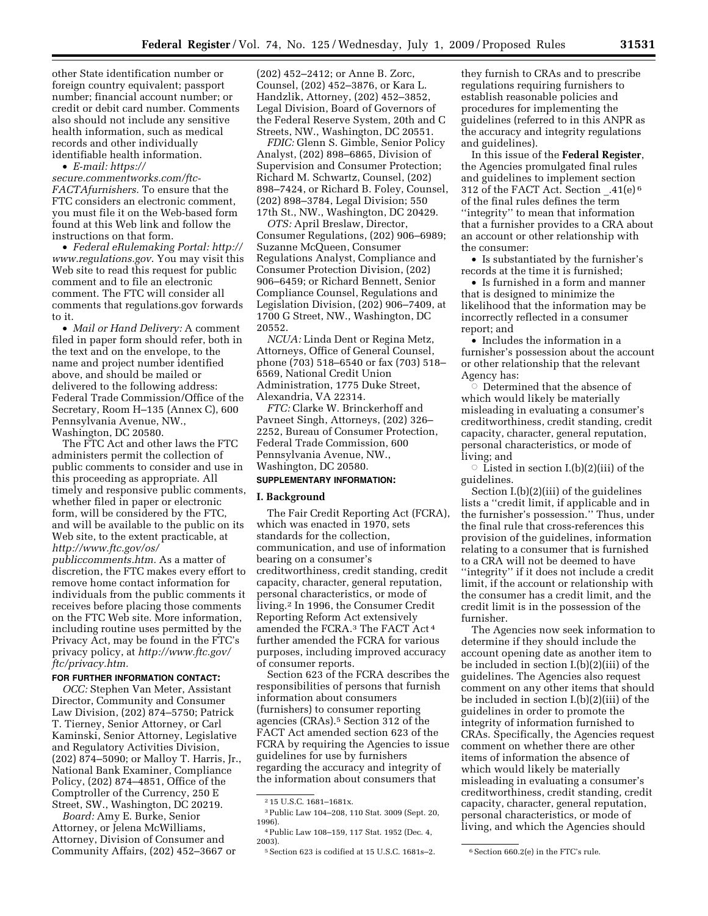other State identification number or foreign country equivalent; passport number; financial account number; or credit or debit card number. Comments also should not include any sensitive health information, such as medical records and other individually identifiable health information.

• *E-mail: https://* 

*secure.commentworks.com/ftc-FACTAfurnishers.* To ensure that the FTC considers an electronic comment, you must file it on the Web-based form found at this Web link and follow the instructions on that form.

• *Federal eRulemaking Portal: http:// www.regulations.gov*. You may visit this Web site to read this request for public comment and to file an electronic comment. The FTC will consider all comments that regulations.gov forwards to it.

• *Mail or Hand Delivery:* A comment filed in paper form should refer, both in the text and on the envelope, to the name and project number identified above, and should be mailed or delivered to the following address: Federal Trade Commission/Office of the Secretary, Room H–135 (Annex C), 600 Pennsylvania Avenue, NW., Washington, DC 20580.

The FTC Act and other laws the FTC administers permit the collection of public comments to consider and use in this proceeding as appropriate. All timely and responsive public comments, whether filed in paper or electronic form, will be considered by the FTC, and will be available to the public on its Web site, to the extent practicable, at *http://www.ftc.gov/os/* 

*publiccomments.htm.* As a matter of discretion, the FTC makes every effort to remove home contact information for individuals from the public comments it receives before placing those comments on the FTC Web site. More information, including routine uses permitted by the Privacy Act, may be found in the FTC's privacy policy, at *http://www.ftc.gov/ ftc/privacy.htm.* 

## **FOR FURTHER INFORMATION CONTACT:**

*OCC:* Stephen Van Meter, Assistant Director, Community and Consumer Law Division, (202) 874–5750; Patrick T. Tierney, Senior Attorney, or Carl Kaminski, Senior Attorney, Legislative and Regulatory Activities Division, (202) 874–5090; or Malloy T. Harris, Jr., National Bank Examiner, Compliance Policy, (202) 874–4851, Office of the Comptroller of the Currency, 250 E Street, SW., Washington, DC 20219.

*Board:* Amy E. Burke, Senior Attorney, or Jelena McWilliams, Attorney, Division of Consumer and Community Affairs, (202) 452–3667 or

(202) 452–2412; or Anne B. Zorc, Counsel, (202) 452–3876, or Kara L. Handzlik, Attorney, (202) 452–3852, Legal Division, Board of Governors of the Federal Reserve System, 20th and C Streets, NW., Washington, DC 20551.

*FDIC:* Glenn S. Gimble, Senior Policy Analyst, (202) 898–6865, Division of Supervision and Consumer Protection; Richard M. Schwartz, Counsel, (202) 898–7424, or Richard B. Foley, Counsel, (202) 898–3784, Legal Division; 550 17th St., NW., Washington, DC 20429.

*OTS:* April Breslaw, Director, Consumer Regulations, (202) 906–6989; Suzanne McQueen, Consumer Regulations Analyst, Compliance and Consumer Protection Division, (202) 906–6459; or Richard Bennett, Senior Compliance Counsel, Regulations and Legislation Division, (202) 906–7409, at 1700 G Street, NW., Washington, DC 20552.

*NCUA:* Linda Dent or Regina Metz, Attorneys, Office of General Counsel, phone (703) 518–6540 or fax (703) 518– 6569, National Credit Union Administration, 1775 Duke Street, Alexandria, VA 22314.

*FTC:* Clarke W. Brinckerhoff and Pavneet Singh, Attorneys, (202) 326– 2252, Bureau of Consumer Protection, Federal Trade Commission, 600 Pennsylvania Avenue, NW., Washington, DC 20580.

## **SUPPLEMENTARY INFORMATION:**

## **I. Background**

The Fair Credit Reporting Act (FCRA), which was enacted in 1970, sets standards for the collection, communication, and use of information bearing on a consumer's creditworthiness, credit standing, credit capacity, character, general reputation, personal characteristics, or mode of living.2 In 1996, the Consumer Credit Reporting Reform Act extensively amended the FCRA.3 The FACT Act 4 further amended the FCRA for various purposes, including improved accuracy of consumer reports.

Section 623 of the FCRA describes the responsibilities of persons that furnish information about consumers (furnishers) to consumer reporting agencies (CRAs).5 Section 312 of the FACT Act amended section 623 of the FCRA by requiring the Agencies to issue guidelines for use by furnishers regarding the accuracy and integrity of the information about consumers that

they furnish to CRAs and to prescribe regulations requiring furnishers to establish reasonable policies and procedures for implementing the guidelines (referred to in this ANPR as the accuracy and integrity regulations and guidelines).

In this issue of the **Federal Register**, the Agencies promulgated final rules and guidelines to implement section 312 of the FACT Act. Section \_.41(e) 6 of the final rules defines the term ''integrity'' to mean that information that a furnisher provides to a CRA about an account or other relationship with the consumer:

• Is substantiated by the furnisher's records at the time it is furnished;

• Is furnished in a form and manner that is designed to minimize the likelihood that the information may be incorrectly reflected in a consumer report; and

• Includes the information in a furnisher's possession about the account or other relationship that the relevant Agency has:

 $\circ$  Determined that the absence of which would likely be materially misleading in evaluating a consumer's creditworthiness, credit standing, credit capacity, character, general reputation, personal characteristics, or mode of living; and

 $\circ$  Listed in section I.(b)(2)(iii) of the guidelines.

Section I.(b)(2)(iii) of the guidelines lists a ''credit limit, if applicable and in the furnisher's possession.'' Thus, under the final rule that cross-references this provision of the guidelines, information relating to a consumer that is furnished to a CRA will not be deemed to have ''integrity'' if it does not include a credit limit, if the account or relationship with the consumer has a credit limit, and the credit limit is in the possession of the furnisher.

The Agencies now seek information to determine if they should include the account opening date as another item to be included in section I.(b)(2)(iii) of the guidelines. The Agencies also request comment on any other items that should be included in section I.(b)(2)(iii) of the guidelines in order to promote the integrity of information furnished to CRAs. Specifically, the Agencies request comment on whether there are other items of information the absence of which would likely be materially misleading in evaluating a consumer's creditworthiness, credit standing, credit capacity, character, general reputation, personal characteristics, or mode of living, and which the Agencies should

<sup>2</sup> 15 U.S.C. 1681–1681x.

<sup>3</sup>Public Law 104–208, 110 Stat. 3009 (Sept. 20, 1996).

<sup>4</sup>Public Law 108–159, 117 Stat. 1952 (Dec. 4, 2003).

 $5$  Section 623 is codified at 15 U.S.C. 1681s–2.  $6$  Section 660.2(e) in the FTC's rule.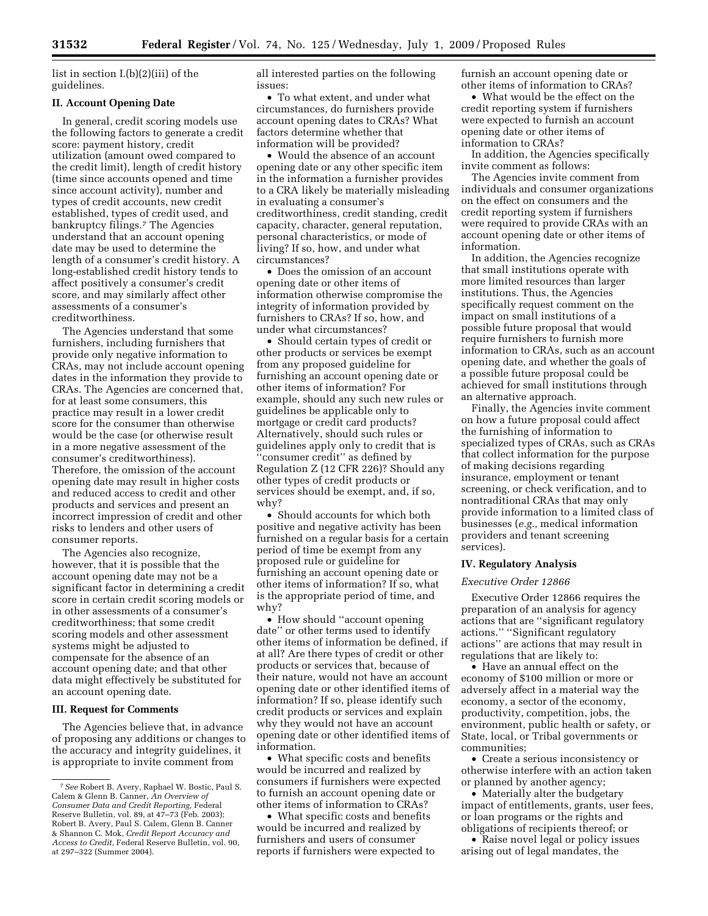list in section I.(b)(2)(iii) of the guidelines.

#### **II. Account Opening Date**

In general, credit scoring models use the following factors to generate a credit score: payment history, credit utilization (amount owed compared to the credit limit), length of credit history (time since accounts opened and time since account activity), number and types of credit accounts, new credit established, types of credit used, and bankruptcy filings.7 The Agencies understand that an account opening date may be used to determine the length of a consumer's credit history. A long-established credit history tends to affect positively a consumer's credit score, and may similarly affect other assessments of a consumer's creditworthiness.

The Agencies understand that some furnishers, including furnishers that provide only negative information to CRAs, may not include account opening dates in the information they provide to CRAs. The Agencies are concerned that, for at least some consumers, this practice may result in a lower credit score for the consumer than otherwise would be the case (or otherwise result in a more negative assessment of the consumer's creditworthiness). Therefore, the omission of the account opening date may result in higher costs and reduced access to credit and other products and services and present an incorrect impression of credit and other risks to lenders and other users of consumer reports.

The Agencies also recognize, however, that it is possible that the account opening date may not be a significant factor in determining a credit score in certain credit scoring models or in other assessments of a consumer's creditworthiness; that some credit scoring models and other assessment systems might be adjusted to compensate for the absence of an account opening date; and that other data might effectively be substituted for an account opening date.

#### **III. Request for Comments**

The Agencies believe that, in advance of proposing any additions or changes to the accuracy and integrity guidelines, it is appropriate to invite comment from

all interested parties on the following issues:

• To what extent, and under what circumstances, do furnishers provide account opening dates to CRAs? What factors determine whether that information will be provided?

• Would the absence of an account opening date or any other specific item in the information a furnisher provides to a CRA likely be materially misleading in evaluating a consumer's creditworthiness, credit standing, credit capacity, character, general reputation, personal characteristics, or mode of living? If so, how, and under what circumstances?

• Does the omission of an account opening date or other items of information otherwise compromise the integrity of information provided by furnishers to CRAs? If so, how, and under what circumstances?

• Should certain types of credit or other products or services be exempt from any proposed guideline for furnishing an account opening date or other items of information? For example, should any such new rules or guidelines be applicable only to mortgage or credit card products? Alternatively, should such rules or guidelines apply only to credit that is ''consumer credit'' as defined by Regulation Z (12 CFR 226)? Should any other types of credit products or services should be exempt, and, if so, why?

• Should accounts for which both positive and negative activity has been furnished on a regular basis for a certain period of time be exempt from any proposed rule or guideline for furnishing an account opening date or other items of information? If so, what is the appropriate period of time, and why?

• How should "account opening" date'' or other terms used to identify other items of information be defined, if at all? Are there types of credit or other products or services that, because of their nature, would not have an account opening date or other identified items of information? If so, please identify such credit products or services and explain why they would not have an account opening date or other identified items of information.

• What specific costs and benefits would be incurred and realized by consumers if furnishers were expected to furnish an account opening date or other items of information to CRAs?

• What specific costs and benefits would be incurred and realized by furnishers and users of consumer reports if furnishers were expected to furnish an account opening date or other items of information to CRAs?

• What would be the effect on the credit reporting system if furnishers were expected to furnish an account opening date or other items of information to CRAs?

In addition, the Agencies specifically invite comment as follows:

The Agencies invite comment from individuals and consumer organizations on the effect on consumers and the credit reporting system if furnishers were required to provide CRAs with an account opening date or other items of information.

In addition, the Agencies recognize that small institutions operate with more limited resources than larger institutions. Thus, the Agencies specifically request comment on the impact on small institutions of a possible future proposal that would require furnishers to furnish more information to CRAs, such as an account opening date, and whether the goals of a possible future proposal could be achieved for small institutions through an alternative approach.

Finally, the Agencies invite comment on how a future proposal could affect the furnishing of information to specialized types of CRAs, such as CRAs that collect information for the purpose of making decisions regarding insurance, employment or tenant screening, or check verification, and to nontraditional CRAs that may only provide information to a limited class of businesses (*e.g.,* medical information providers and tenant screening services).

## **IV. Regulatory Analysis**

#### *Executive Order 12866*

Executive Order 12866 requires the preparation of an analysis for agency actions that are ''significant regulatory actions.'' ''Significant regulatory actions'' are actions that may result in regulations that are likely to:

• Have an annual effect on the economy of \$100 million or more or adversely affect in a material way the economy, a sector of the economy, productivity, competition, jobs, the environment, public health or safety, or State, local, or Tribal governments or communities;

• Create a serious inconsistency or otherwise interfere with an action taken or planned by another agency;

• Materially alter the budgetary impact of entitlements, grants, user fees, or loan programs or the rights and obligations of recipients thereof; or

• Raise novel legal or policy issues arising out of legal mandates, the

<sup>7</sup>*See* Robert B. Avery, Raphael W. Bostic, Paul S. Calem & Glenn B. Canner, *An Overview of Consumer Data and Credit Reporting,* Federal Reserve Bulletin, vol. 89, at 47–73 (Feb. 2003); Robert B. Avery, Paul S. Calem, Glenn B. Canner & Shannon C. Mok, *Credit Report Accuracy and Access to Credit,* Federal Reserve Bulletin, vol. 90, at 297–322 (Summer 2004).